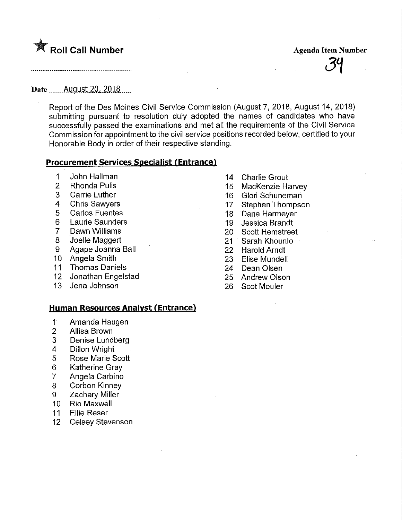

Date ..^^Augyst.20,.2018

Report: of the Des Moines Civil Service Commission (August 7, 2018, August 14, 2018) submitting pursuant to resolution duly adopted the names of candidates who have successfully passed the examinations and met all the requirements of the Civil Service Commission for appointment to the civil service positions recorded beiow, certified to your Honorable Body in order of their respective standing.

#### Procurement Services Specialist (Entrance)

- 1 John Hallman
- 2 Rhonda Pulis
- 3 Carrie Luther
- 4 Chris Sawyers
- 5 Carios Fuentes
- 6 Laurie Saunders
- 7 Dawn Williams
- 8 Joelle Maggert
- 9 Agape Joanna Ball
- 10 Angela Smith
- 11 Thomas Daniels
- 12 Jonathan Engelstad
- 13 Jena Johnson

#### Human Resources Analyst (Entrance)

- r Amanda Haugen
- 2 Allisa Brown
- 3 Denise Lundberg
- 4 Dillon Wright
- 5 Rose Marie Scott
- 6 Katherine Gray
- 7 Angela Carbino
- 8 **Corbon Kinney**
- 9 Zachary Miller
- 10 Rio Maxwell
- 11 Ellie Reser
- 12 Celsey Stevenson
- 14 Charlie Grout
- 15 MacKenzie Harvey
- 16 Giori Schuneman
- 17 Stephen Thompson
- 18 Dana Harmeyer
- 19 Jessica Brandt
- 20 Scott Hemstreet
- 21 Sarah Khounlo
- 22 Harold Arndt
- 23 Elise Mundell
- 24 Dean Olsen
- 25 Andrew Oison
- 26 Scot Meuler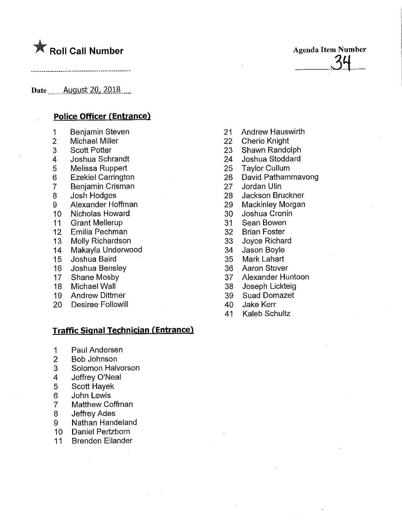# **K** Roll Call Number

Date ...,...August.20^.2018

## Police Officer (Entrance)

- 1 Benjamin Steven
- 2 Michael Miller
- 3 Scott Potter
- 4 Joshua Schrandt
- 5 Melissa Ruppert
- 6 Ezekiel Carrington
- 7 Benjamin Crisman
- 8 Josh Hodges
- 9 Alexander Hoffman
- 10 Nicholas Howard
- 11 Grant Mellerup
- 12 Emilia Pechman
- 13 Molly Richardson
- 14 Makayla Underwood
- 15 Joshua Baird
- 16 Joshua Bensiey
- 17 Shane Mosby
- 18 Michael Wall
- 19 Andrew Dittmer
- 20 Desiree Followill

#### Traffic Signal Technician (Entrance)

- 1 Paul Andersen
- 2 Bob Johnson
- 3 Solomon Halvorson
- 4 Jeffrey O'Neal
- 5 Scott Hayek
- 6 John Lewis
- 7 Matthew Coffman
- 8 Jeffrey Ades
- 9 Nathan Handeland
- 10 Daniel Pertzborn
- 11 Brenden Eilander

21 Andrew Hauswirth

Agenda Item Number

 $\frac{34}{1}$ 

- 22 Cherie Knight
- 23 Shawn Randolph
- 24 Joshua Stoddard
- 25 **Taylor Cullum**
- 26 David Pathammavong
- 27 Jordan Ulin
- 28 Jackson Bruckner
- 29 Mackinley Morgan
- 30 Joshua Cronin
- 31 Sean Bowen
- 32 Brian Foster
- 33 Joyce Richard
- 34 Jason Boyle
- 35 Mark Lahart
- 36 Aaron Stover
- 37 Alexander Huntoon
- 38 Joseph Lickteig
- 39 Suad Domazet
- 40 Jake Kerr
- 41 Kaleb Schultz